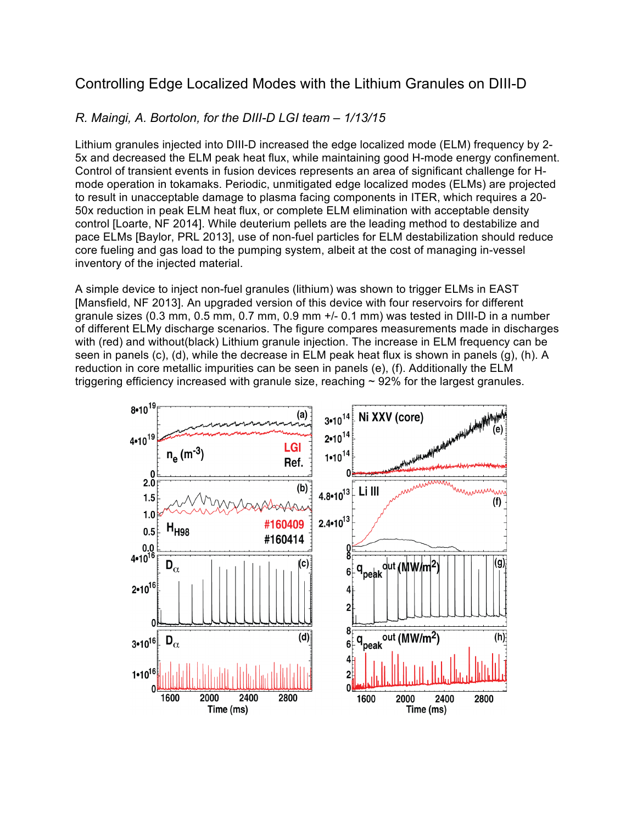## Controlling Edge Localized Modes with the Lithium Granules on DIII-D

## *R. Maingi, A. Bortolon, for the DIII-D LGI team – 1/13/15*

Lithium granules injected into DIII-D increased the edge localized mode (ELM) frequency by 2- 5x and decreased the ELM peak heat flux, while maintaining good H-mode energy confinement. Control of transient events in fusion devices represents an area of significant challenge for Hmode operation in tokamaks. Periodic, unmitigated edge localized modes (ELMs) are projected to result in unacceptable damage to plasma facing components in ITER, which requires a 20- 50x reduction in peak ELM heat flux, or complete ELM elimination with acceptable density control [Loarte, NF 2014]. While deuterium pellets are the leading method to destabilize and pace ELMs [Baylor, PRL 2013], use of non-fuel particles for ELM destabilization should reduce core fueling and gas load to the pumping system, albeit at the cost of managing in-vessel inventory of the injected material.

A simple device to inject non-fuel granules (lithium) was shown to trigger ELMs in EAST [Mansfield, NF 2013]. An upgraded version of this device with four reservoirs for different granule sizes (0.3 mm, 0.5 mm, 0.7 mm, 0.9 mm +/- 0.1 mm) was tested in DIII-D in a number of different ELMy discharge scenarios. The figure compares measurements made in discharges with (red) and without(black) Lithium granule injection. The increase in ELM frequency can be seen in panels (c), (d), while the decrease in ELM peak heat flux is shown in panels (g), (h). A reduction in core metallic impurities can be seen in panels (e), (f). Additionally the ELM triggering efficiency increased with granule size, reaching  $\sim$  92% for the largest granules.